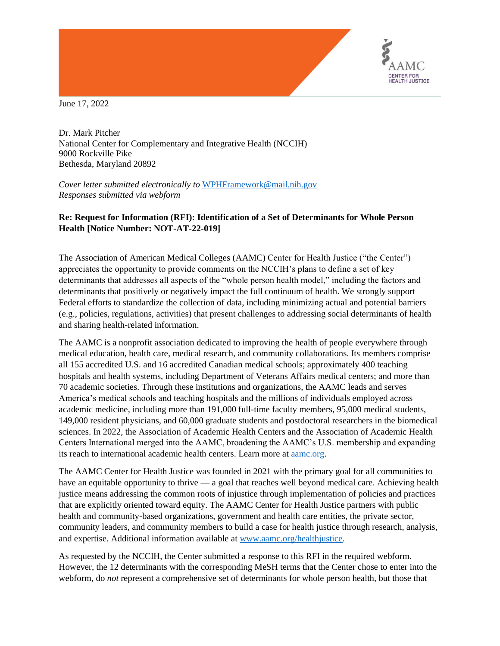

June 17, 2022

Dr. Mark Pitcher National Center for Complementary and Integrative Health (NCCIH) 9000 Rockville Pike Bethesda, Maryland 20892

*Cover letter submitted electronically to* [WPHFramework@mail.nih.gov](mailto:WPHFramework@mail.nih.gov) *Responses submitted via webform* 

# **Re: Request for Information (RFI): Identification of a Set of Determinants for Whole Person Health [Notice Number: NOT-AT-22-019]**

The Association of American Medical Colleges (AAMC) Center for Health Justice ("the Center") appreciates the opportunity to provide comments on the NCCIH's plans to define a set of key determinants that addresses all aspects of the "whole person health model," including the factors and determinants that positively or negatively impact the full continuum of health. We strongly support Federal efforts to standardize the collection of data, including minimizing actual and potential barriers (e.g., policies, regulations, activities) that present challenges to addressing social determinants of health and sharing health-related information.

The AAMC is a nonprofit association dedicated to improving the health of people everywhere through medical education, health care, medical research, and community collaborations. Its members comprise all 155 accredited U.S. and 16 accredited Canadian medical schools; approximately 400 teaching hospitals and health systems, including Department of Veterans Affairs medical centers; and more than 70 academic societies. Through these institutions and organizations, the AAMC leads and serves America's medical schools and teaching hospitals and the millions of individuals employed across academic medicine, including more than 191,000 full-time faculty members, 95,000 medical students, 149,000 resident physicians, and 60,000 graduate students and postdoctoral researchers in the biomedical sciences. In 2022, the Association of Academic Health Centers and the Association of Academic Health Centers International merged into the AAMC, broadening the AAMC's U.S. membership and expanding its reach to international academic health centers. Learn more at [aamc.org.](http://aamc.org/)

The AAMC Center for Health Justice was founded in 2021 with the primary goal for all communities to have an equitable opportunity to thrive — a goal that reaches well beyond medical care. Achieving health justice means addressing the common roots of injustice through implementation of policies and practices that are explicitly oriented toward equity. The AAMC Center for Health Justice partners with public health and community-based organizations, government and health care entities, the private sector, community leaders, and community members to build a case for health justice through research, analysis, and expertise. Additional information available a[t www.aamc.org/healthjustice.](http://www.aamc.org/healthjustice)

As requested by the NCCIH, the Center submitted a response to this RFI in the required webform. However, the 12 determinants with the corresponding MeSH terms that the Center chose to enter into the webform, do *not* represent a comprehensive set of determinants for whole person health, but those that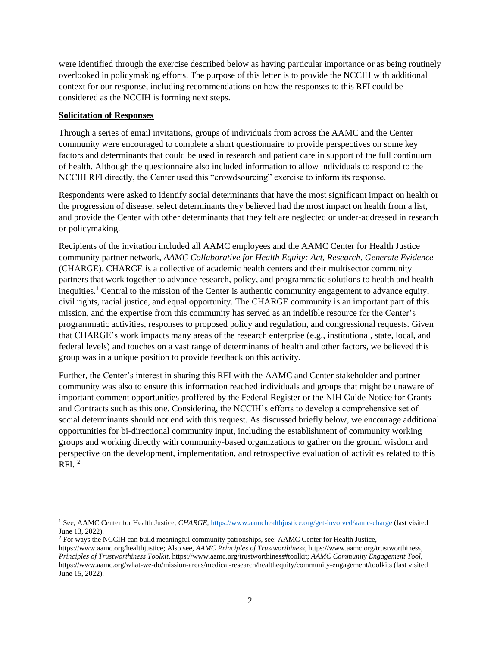were identified through the exercise described below as having particular importance or as being routinely overlooked in policymaking efforts. The purpose of this letter is to provide the NCCIH with additional context for our response, including recommendations on how the responses to this RFI could be considered as the NCCIH is forming next steps.

### **Solicitation of Responses**

Through a series of email invitations, groups of individuals from across the AAMC and the Center community were encouraged to complete a short questionnaire to provide perspectives on some key factors and determinants that could be used in research and patient care in support of the full continuum of health. Although the questionnaire also included information to allow individuals to respond to the NCCIH RFI directly, the Center used this "crowdsourcing" exercise to inform its response.

Respondents were asked to identify social determinants that have the most significant impact on health or the progression of disease, select determinants they believed had the most impact on health from a list, and provide the Center with other determinants that they felt are neglected or under-addressed in research or policymaking.

Recipients of the invitation included all AAMC employees and the AAMC Center for Health Justice community partner network, *AAMC Collaborative for Health Equity: Act, Research, Generate Evidence* (CHARGE). CHARGE is a collective of academic health centers and their multisector community partners that work together to advance research, policy, and programmatic solutions to health and health inequities.<sup>1</sup> Central to the mission of the Center is authentic community engagement to advance equity, civil rights, racial justice, and equal opportunity. The CHARGE community is an important part of this mission, and the expertise from this community has served as an indelible resource for the Center's programmatic activities, responses to proposed policy and regulation, and congressional requests. Given that CHARGE's work impacts many areas of the research enterprise (e.g., institutional, state, local, and federal levels) and touches on a vast range of determinants of health and other factors, we believed this group was in a unique position to provide feedback on this activity.

Further, the Center's interest in sharing this RFI with the AAMC and Center stakeholder and partner community was also to ensure this information reached individuals and groups that might be unaware of important comment opportunities proffered by the Federal Register or the NIH Guide Notice for Grants and Contracts such as this one. Considering, the NCCIH's efforts to develop a comprehensive set of social determinants should not end with this request. As discussed briefly below, we encourage additional opportunities for bi-directional community input, including the establishment of community working groups and working directly with community-based organizations to gather on the ground wisdom and perspective on the development, implementation, and retrospective evaluation of activities related to this RFI. 2

<sup>1</sup> See, AAMC Center for Health Justice, *CHARGE,* <https://www.aamchealthjustice.org/get-involved/aamc-charge> (last visited June 13, 2022).

<sup>2</sup> For ways the NCCIH can build meaningful community patronships, see: AAMC Center for Health Justice,

https://www.aamc.org/healthjustice; Also see, *AAMC Principles of Trustworthiness*, https://www.aamc.org/trustworthiness, *Principles of Trustworthiness Toolkit*, https://www.aamc.org/trustworthiness#toolkit; *AAMC Community Engagement Tool,* https://www.aamc.org/what-we-do/mission-areas/medical-research/healthequity/community-engagement/toolkits (last visited June 15, 2022).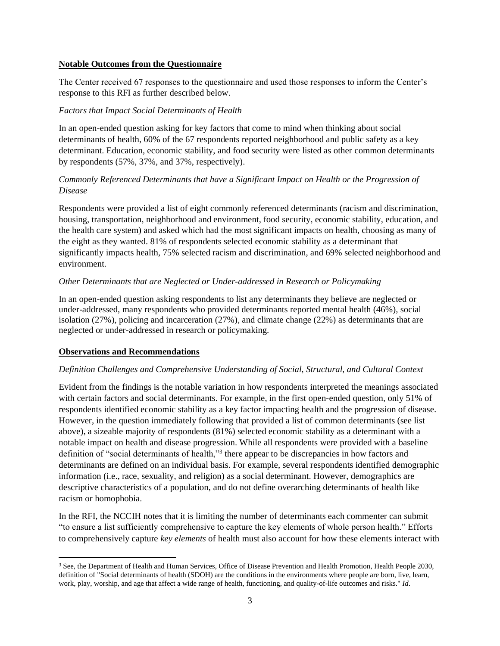### **Notable Outcomes from the Questionnaire**

The Center received 67 responses to the questionnaire and used those responses to inform the Center's response to this RFI as further described below.

### *Factors that Impact Social Determinants of Health*

In an open-ended question asking for key factors that come to mind when thinking about social determinants of health, 60% of the 67 respondents reported neighborhood and public safety as a key determinant. Education, economic stability, and food security were listed as other common determinants by respondents (57%, 37%, and 37%, respectively).

## *Commonly Referenced Determinants that have a Significant Impact on Health or the Progression of Disease*

Respondents were provided a list of eight commonly referenced determinants (racism and discrimination, housing, transportation, neighborhood and environment, food security, economic stability, education, and the health care system) and asked which had the most significant impacts on health, choosing as many of the eight as they wanted. 81% of respondents selected economic stability as a determinant that significantly impacts health, 75% selected racism and discrimination, and 69% selected neighborhood and environment.

### *Other Determinants that are Neglected or Under-addressed in Research or Policymaking*

In an open-ended question asking respondents to list any determinants they believe are neglected or under-addressed, many respondents who provided determinants reported mental health (46%), social isolation (27%), policing and incarceration (27%), and climate change (22%) as determinants that are neglected or under-addressed in research or policymaking.

### **Observations and Recommendations**

### *Definition Challenges and Comprehensive Understanding of Social, Structural, and Cultural Context*

Evident from the findings is the notable variation in how respondents interpreted the meanings associated with certain factors and social determinants. For example, in the first open-ended question, only 51% of respondents identified economic stability as a key factor impacting health and the progression of disease. However, in the question immediately following that provided a list of common determinants (see list above), a sizeable majority of respondents (81%) selected economic stability as a determinant with a notable impact on health and disease progression. While all respondents were provided with a baseline definition of "social determinants of health,"<sup>3</sup> there appear to be discrepancies in how factors and determinants are defined on an individual basis. For example, several respondents identified demographic information (i.e., race, sexuality, and religion) as a social determinant. However, demographics are descriptive characteristics of a population, and do not define overarching determinants of health like racism or homophobia.

In the RFI, the NCCIH notes that it is limiting the number of determinants each commenter can submit "to ensure a list sufficiently comprehensive to capture the key elements of whole person health." Efforts to comprehensively capture *key elements* of health must also account for how these elements interact with

<sup>3</sup> See, the Department of Health and Human Services, Office of Disease Prevention and Health Promotion, Health People 2030, definition of "Social determinants of health (SDOH) are the conditions in the environments where people are born, live, learn, work, play, worship, and age that affect a wide range of health, functioning, and quality-of-life outcomes and risks." *Id*.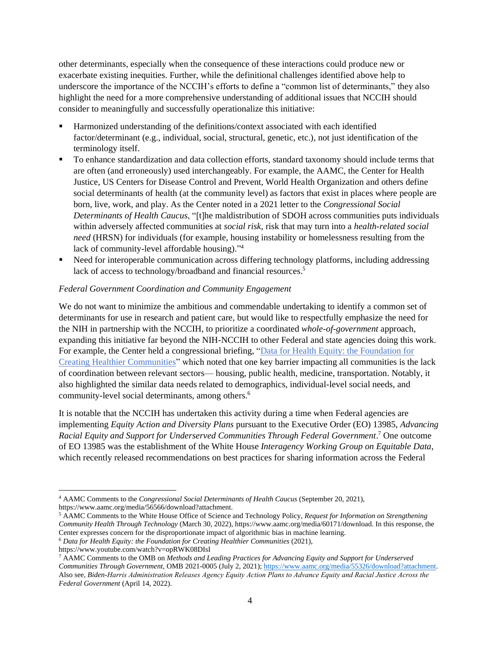other determinants, especially when the consequence of these interactions could produce new or exacerbate existing inequities. Further, while the definitional challenges identified above help to underscore the importance of the NCCIH's efforts to define a "common list of determinants," they also highlight the need for a more comprehensive understanding of additional issues that NCCIH should consider to meaningfully and successfully operationalize this initiative:

- Harmonized understanding of the definitions/context associated with each identified factor/determinant (e.g., individual, social, structural, genetic, etc.), not just identification of the terminology itself.
- To enhance standardization and data collection efforts, standard taxonomy should include terms that are often (and erroneously) used interchangeably. For example, the AAMC, the Center for Health Justice, US Centers for Disease Control and Prevent, World Health Organization and others define social determinants of health (at the community level) as factors that exist in places where people are born, live, work, and play. As the Center noted in a 2021 letter to the *Congressional Social Determinants of Health Caucus*, "[t]he maldistribution of SDOH across communities puts individuals within adversely affected communities at *social risk*, risk that may turn into a *health-related social need* (HRSN) for individuals (for example, housing instability or homelessness resulting from the lack of community-level affordable housing)." 4
- Need for interoperable communication across differing technology platforms, including addressing lack of access to technology/broadband and financial resources.<sup>5</sup>

### *Federal Government Coordination and Community Engagement*

We do not want to minimize the ambitious and commendable undertaking to identify a common set of determinants for use in research and patient care, but would like to respectfully emphasize the need for the NIH in partnership with the NCCIH, to prioritize a coordinated *whole-of-government* approach, expanding this initiative far beyond the NIH-NCCIH to other Federal and state agencies doing this work. For example, the Center held a congressional briefing, ["Data for Health Equity: the Foundation for](https://www.youtube.com/watch?v=opRWK08DIsI)  [Creating Healthier Communities"](https://www.youtube.com/watch?v=opRWK08DIsI) which noted that one key barrier impacting all communities is the lack of coordination between relevant sectors— housing, public health, medicine, transportation. Notably, it also highlighted the similar data needs related to demographics, individual-level social needs, and community-level social determinants, among others.<sup>6</sup>

It is notable that the NCCIH has undertaken this activity during a time when Federal agencies are implementing *Equity Action and Diversity Plans* pursuant to the Executive Order (EO) 13985, *Advancing Racial Equity and Support for Underserved Communities Through Federal Government*. <sup>7</sup> One outcome of EO 13985 was the establishment of the White House *Interagency Working Group on Equitable Data*, which recently released recommendations on best practices for sharing information across the Federal

<sup>6</sup> *Data for Health Equity: the Foundation for Creating Healthier Communities* (2021),

<sup>4</sup> AAMC Comments to the *Congressional Social Determinants of Health Caucus* (September 20, 2021), https://www.aamc.org/media/56566/download?attachment.

<sup>5</sup> AAMC Comments to the White House Office of Science and Technology Policy, *Request for Information on Strengthening Community Health Through Technology* (March 30, 2022), https://www.aamc.org/media/60171/download. In this response, the Center expresses concern for the disproportionate impact of algorithmic bias in machine learning.

https://www.youtube.com/watch?v=opRWK08DIsI

<sup>7</sup> AAMC Comments to the OMB on *Methods and Leading Practices for Advancing Equity and Support for Underserved Communities Through Government,* OMB 2021-0005 (July 2, 2021); [https://www.aamc.org/media/55326/download?attachment.](https://www.aamc.org/media/55326/download?attachment) Also see, *Biden-Harris Administration Releases Agency Equity Action Plans to Advance Equity and Racial Justice Across the Federal Government* (April 14, 2022).